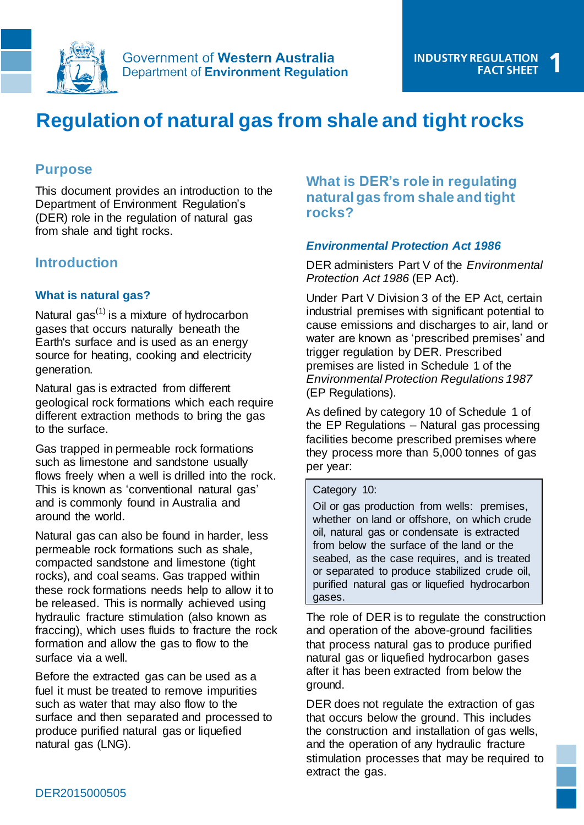

# **Regulation of natural gas from shale and tight rocks**

# **Purpose**

This document provides an introduction to the Department of Environment Regulation's (DER) role in the regulation of natural gas from shale and tight rocks.

# **Introduction**

### **What is natural gas?**

Natural gas<sup> $(1)$ </sup> is a mixture of hydrocarbon gases that occurs naturally beneath the Earth's surface and is used as an energy source for heating, cooking and electricity generation.

Natural gas is extracted from different geological rock formations which each require different extraction methods to bring the gas to the surface.

Gas trapped in permeable rock formations such as limestone and sandstone usually flows freely when a well is drilled into the rock. This is known as 'conventional natural gas' and is commonly found in Australia and around the world.

Natural gas can also be found in harder, less permeable rock formations such as shale, compacted sandstone and limestone (tight rocks), and coal seams. Gas trapped within these rock formations needs help to allow it to be released. This is normally achieved using hydraulic fracture stimulation (also known as fraccing), which uses fluids to fracture the rock formation and allow the gas to flow to the surface via a well.

Before the extracted gas can be used as a fuel it must be treated to remove impurities such as water that may also flow to the surface and then separated and processed to produce purified natural gas or liquefied natural gas (LNG).

# **What is DER's role in regulating natural gas from shale and tight rocks?**

### *Environmental Protection Act 1986*

DER administers Part V of the *Environmental Protection Act 1986* (EP Act).

Under Part V Division 3 of the EP Act, certain industrial premises with significant potential to cause emissions and discharges to air, land or water are known as 'prescribed premises' and trigger regulation by DER. Prescribed premises are listed in Schedule 1 of the *Environmental Protection Regulations 1987* (EP Regulations).

As defined by category 10 of Schedule 1 of the EP Regulations – Natural gas processing facilities become prescribed premises where they process more than 5,000 tonnes of gas per year:

#### Category 10:

Oil or gas production from wells: premises, whether on land or offshore, on which crude oil, natural gas or condensate is extracted from below the surface of the land or the seabed, as the case requires, and is treated or separated to produce stabilized crude oil, purified natural gas or liquefied hydrocarbon gases.

The role of DER is to regulate the construction and operation of the above-ground facilities that process natural gas to produce purified natural gas or liquefied hydrocarbon gases after it has been extracted from below the ground.

DER does not regulate the extraction of gas that occurs below the ground. This includes the construction and installation of gas wells, and the operation of any hydraulic fracture stimulation processes that may be required to extract the gas.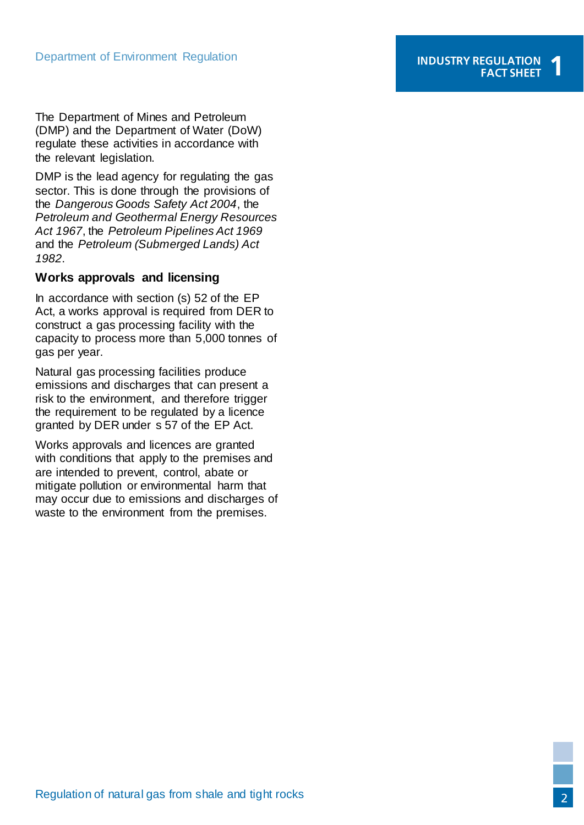The Department of Mines and Petroleum (DMP) and the Department of Water (DoW) regulate these activities in accordance with the relevant legislation.

DMP is the lead agency for regulating the gas sector. This is done through the provisions of the *Dangerous Goods Safety Act 2004*, the *Petroleum and Geothermal Energy Resources Act 1967*, the *Petroleum Pipelines Act 1969* and the *Petroleum (Submerged Lands) Act 1982*.

#### **Works approvals and licensing**

In accordance with section (s) 52 of the EP Act, a works approval is required from DER to construct a gas processing facility with the capacity to process more than 5,000 tonnes of gas per year.

Natural gas processing facilities produce emissions and discharges that can present a risk to the environment, and therefore trigger the requirement to be regulated by a licence granted by DER under s 57 of the EP Act.

Works approvals and licences are granted with conditions that apply to the premises and are intended to prevent, control, abate or mitigate pollution or environmental harm that may occur due to emissions and discharges of waste to the environment from the premises.